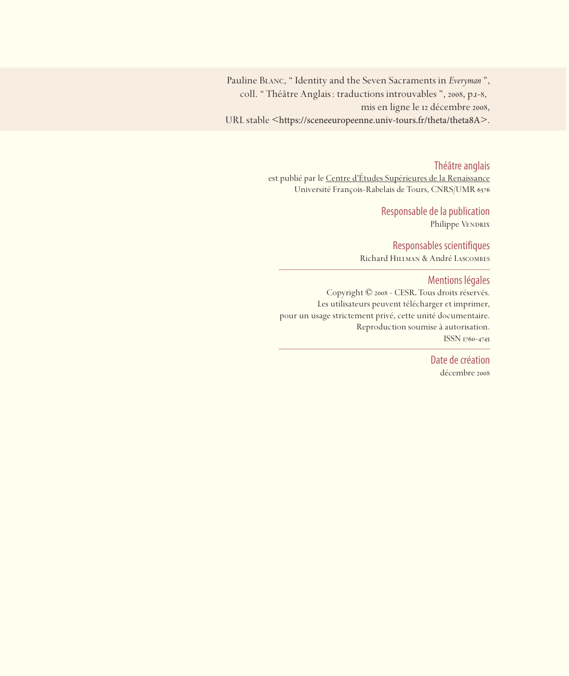Pauline Blanc, " Identity and the Seven Sacraments in *Everyman* ", coll. " Théâtre Anglais : traductions introuvables ", 2008, p.1-8, mis en ligne le 12 décembre 2008, URL stable <https://sceneeuropeenne.univ-tours.fr/theta/theta8A>.

Théâtre anglais

est publié par le Centre d'études Supérieures de la Renaissance Université François-Rabelais de Tours, CNRS/UMR

> Responsable de la publication Philippe VENDRIX

Responsables scientifiques Richard Hillman & André Lascombes

Mentions légales

Copyright © 2008 - CESR. Tous droits réservés. Les utilisateurs peuvent télécharger et imprimer, pour un usage strictement privé, cette unité documentaire. Reproduction soumise à autorisation. ISSN 1760-4745

> Date de création décembre 2008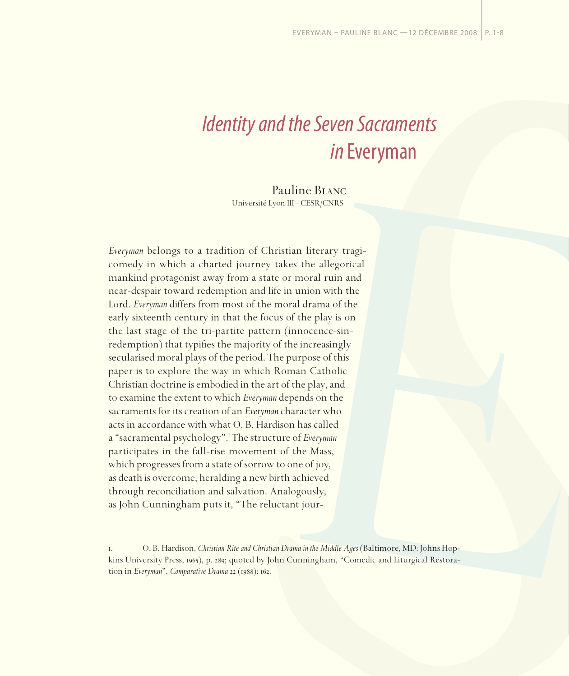## *Identity and the Seven Sacraments in* Everyman

Pauline Blanc Université Lyon III - CESR/CNRS

*Everyman* belongs to a tradition of Christian literary tragicomedy in which a charted journey takes the allegorical mankind protagonist away from a state or moral ruin and near-despair toward redemption and life in union with the Lord. *Everyman* differs from most of the moral drama of the early sixteenth century in that the focus of the play is on the last stage of the tri-partite pattern (innocence-sinredemption) that typifies the majority of the increasingly secularised moral plays of the period. The purpose of this paper is to explore the way in which Roman Catholic Christian doctrine is embodied in the art of the play, and to examine the extent to which *Everyman* depends on the sacraments for its creation of an *Everyman* character who acts in accordance with what O. B. Hardison has called a "sacramental psychology". The structure of *Everyman* participates in the fall-rise movement of the Mass, which progresses from a state of sorrow to one of joy, as death is overcome, heralding a new birth achieved through reconciliation and salvation. Analogously, as John Cunningham puts it, "The reluctant jour-

<sup>.</sup> O. B. Hardison, *Christian Rite and Christian Drama in the Middle Ages* (Baltimore, MD: Johns Hopkins University Press, 1965), p. 289; quoted by John Cunningham, "Comedic and Liturgical Restoration in *Everyman*", *Comparative Drama* 22 (1988): 162.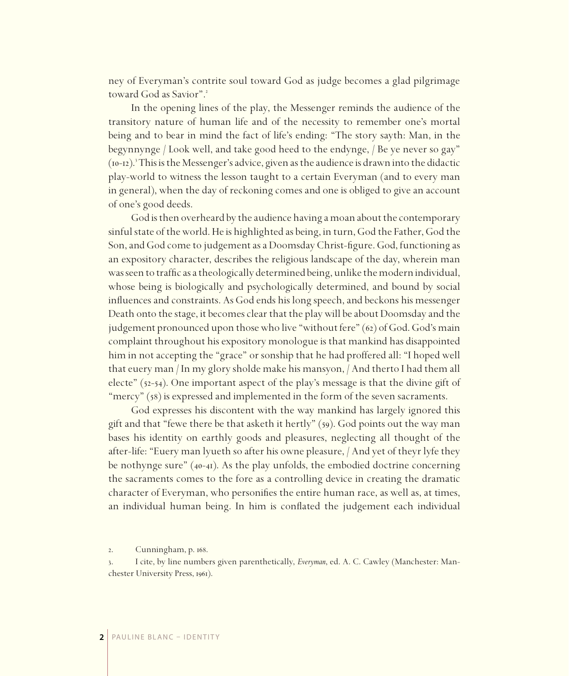ney of Everyman's contrite soul toward God as judge becomes a glad pilgrimage toward God as Savior".

In the opening lines of the play, the Messenger reminds the audience of the transitory nature of human life and of the necessity to remember one's mortal being and to bear in mind the fact of life's ending: "The story sayth: Man, in the begynnynge / Look well, and take good heed to the endynge, / Be ye never so gay" (10-12).<sup>3</sup> This is the Messenger's advice, given as the audience is drawn into the didactic play-world to witness the lesson taught to a certain Everyman (and to every man in general), when the day of reckoning comes and one is obliged to give an account of one's good deeds.

God is then overheard by the audience having a moan about the contemporary sinful state of the world. He is highlighted as being, in turn, God the Father, God the Son, and God come to judgement as a Doomsday Christ-figure. God, functioning as an expository character, describes the religious landscape of the day, wherein man was seen to traffic as a theologically determined being, unlike the modern individual, whose being is biologically and psychologically determined, and bound by social influences and constraints. As God ends his long speech, and beckons his messenger Death onto the stage, it becomes clear that the play will be about Doomsday and the judgement pronounced upon those who live "without fere"  $(62)$  of God. God's main complaint throughout his expository monologue is that mankind has disappointed him in not accepting the "grace" or sonship that he had proffered all: "I hoped well that euery man / In my glory sholde make his mansyon, / And therto I had them all electe"  $(52-54)$ . One important aspect of the play's message is that the divine gift of "mercy"  $(58)$  is expressed and implemented in the form of the seven sacraments.

God expresses his discontent with the way mankind has largely ignored this gift and that "fewe there be that asketh it hertly"  $(59)$ . God points out the way man bases his identity on earthly goods and pleasures, neglecting all thought of the after-life: "Euery man lyueth so after his owne pleasure, / And yet of theyr lyfe they be nothynge sure" (40-41). As the play unfolds, the embodied doctrine concerning the sacraments comes to the fore as a controlling device in creating the dramatic character of Everyman, who personifies the entire human race, as well as, at times, an individual human being. In him is conflated the judgement each individual

2. Cunningham, p. 168.

<sup>.</sup> I cite, by line numbers given parenthetically, *Everyman*, ed. A. C. Cawley (Manchester: Manchester University Press, 1961).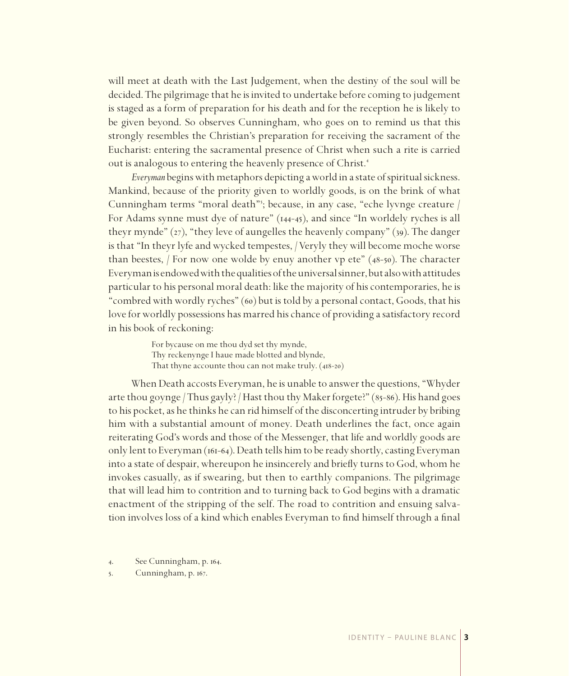will meet at death with the Last Judgement, when the destiny of the soul will be decided. The pilgrimage that he is invited to undertake before coming to judgement is staged as a form of preparation for his death and for the reception he is likely to be given beyond. So observes Cunningham, who goes on to remind us that this strongly resembles the Christian's preparation for receiving the sacrament of the Eucharist: entering the sacramental presence of Christ when such a rite is carried out is analogous to entering the heavenly presence of Christ.

*Everyman* begins with metaphors depicting a world in a state of spiritual sickness. Mankind, because of the priority given to worldly goods, is on the brink of what Cunningham terms "moral death" ; because, in any case, "eche lyvnge creature / For Adams synne must dye of nature"  $(144-45)$ , and since "In worldely ryches is all theyr mynde"  $(z_7)$ , "they leve of aungelles the heavenly company" ( $39$ ). The danger is that "In theyr lyfe and wycked tempestes, / Veryly they will become moche worse than beestes,  $/$  For now one wolde by enuy another vp ete" (48-50). The character Everyman is endowed with the qualities of the universal sinner, but also with attitudes particular to his personal moral death: like the majority of his contemporaries, he is "combred with wordly ryches"  $(60)$  but is told by a personal contact, Goods, that his love for worldly possessions has marred his chance of providing a satisfactory record in his book of reckoning:

> For bycause on me thou dyd set thy mynde, Thy reckenynge I haue made blotted and blynde, That thyne accounte thou can not make truly.  $(418-20)$

When Death accosts Everyman, he is unable to answer the questions, "Whyder arte thou goynge / Thus gayly? / Hast thou thy Maker forgete?" ( $85-86$ ). His hand goes to his pocket, as he thinks he can rid himself of the disconcerting intruder by bribing him with a substantial amount of money. Death underlines the fact, once again reiterating God's words and those of the Messenger, that life and worldly goods are only lent to Everyman ( $161-64$ ). Death tells him to be ready shortly, casting Everyman into a state of despair, whereupon he insincerely and briefly turns to God, whom he invokes casually, as if swearing, but then to earthly companions. The pilgrimage that will lead him to contrition and to turning back to God begins with a dramatic enactment of the stripping of the self. The road to contrition and ensuing salvation involves loss of a kind which enables Everyman to find himself through a final

4. See Cunningham, p. 164.

5. Cunningham, p. 167.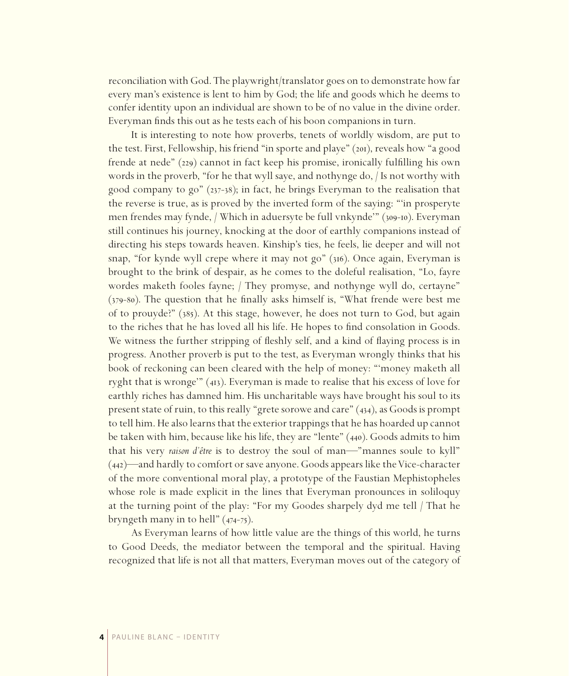reconciliation with God. The playwright/translator goes on to demonstrate how far every man's existence is lent to him by God; the life and goods which he deems to confer identity upon an individual are shown to be of no value in the divine order. Everyman finds this out as he tests each of his boon companions in turn.

It is interesting to note how proverbs, tenets of worldly wisdom, are put to the test. First, Fellowship, his friend "in sporte and playe" (201), reveals how "a good frende at nede"  $(229)$  cannot in fact keep his promise, ironically fulfilling his own words in the proverb, "for he that wyll saye, and nothynge do, / Is not worthy with good company to go"  $(237-38)$ ; in fact, he brings Everyman to the realisation that the reverse is true, as is proved by the inverted form of the saying: "'in prosperyte men frendes may fynde, / Which in aduersyte be full vnkynde'" (309-10). Everyman still continues his journey, knocking at the door of earthly companions instead of directing his steps towards heaven. Kinship's ties, he feels, lie deeper and will not snap, "for kynde wyll crepe where it may not go" (316). Once again, Everyman is brought to the brink of despair, as he comes to the doleful realisation, "Lo, fayre wordes maketh fooles fayne; / They promyse, and nothynge wyll do, certayne"  $(379-80)$ . The question that he finally asks himself is, "What frende were best me of to prouyde?" (). At this stage, however, he does not turn to God, but again to the riches that he has loved all his life. He hopes to find consolation in Goods. We witness the further stripping of fleshly self, and a kind of flaying process is in progress. Another proverb is put to the test, as Everyman wrongly thinks that his book of reckoning can been cleared with the help of money: "'money maketh all ryght that is wronge"  $(41)$ . Everyman is made to realise that his excess of love for earthly riches has damned him. His uncharitable ways have brought his soul to its present state of ruin, to this really "grete sorowe and care"  $(434)$ , as Goods is prompt to tell him. He also learns that the exterior trappings that he has hoarded up cannot be taken with him, because like his life, they are "lente"  $(440)$ . Goods admits to him that his very *raison d'être* is to destroy the soul of man—"mannes soule to kyll"  $(442)$ —and hardly to comfort or save anyone. Goods appears like the Vice-character of the more conventional moral play, a prototype of the Faustian Mephistopheles whose role is made explicit in the lines that Everyman pronounces in soliloquy at the turning point of the play: "For my Goodes sharpely dyd me tell / That he bryngeth many in to hell"  $(474-75)$ .

As Everyman learns of how little value are the things of this world, he turns to Good Deeds, the mediator between the temporal and the spiritual. Having recognized that life is not all that matters, Everyman moves out of the category of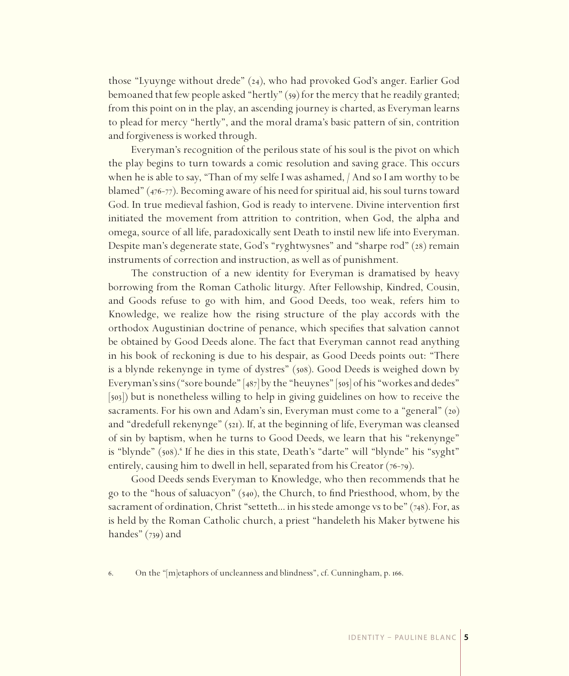those "Lyuynge without drede"  $(24)$ , who had provoked God's anger. Earlier God bemoaned that few people asked "hertly" (59) for the mercy that he readily granted; from this point on in the play, an ascending journey is charted, as Everyman learns to plead for mercy "hertly", and the moral drama's basic pattern of sin, contrition and forgiveness is worked through.

Everyman's recognition of the perilous state of his soul is the pivot on which the play begins to turn towards a comic resolution and saving grace. This occurs when he is able to say, "Than of my selfe I was ashamed, / And so I am worthy to be blamed"  $(476-77)$ . Becoming aware of his need for spiritual aid, his soul turns toward God. In true medieval fashion, God is ready to intervene. Divine intervention first initiated the movement from attrition to contrition, when God, the alpha and omega, source of all life, paradoxically sent Death to instil new life into Everyman. Despite man's degenerate state, God's "ryghtwysnes" and "sharpe rod" (28) remain instruments of correction and instruction, as well as of punishment.

The construction of a new identity for Everyman is dramatised by heavy borrowing from the Roman Catholic liturgy. After Fellowship, Kindred, Cousin, and Goods refuse to go with him, and Good Deeds, too weak, refers him to Knowledge, we realize how the rising structure of the play accords with the orthodox Augustinian doctrine of penance, which specifies that salvation cannot be obtained by Good Deeds alone. The fact that Everyman cannot read anything in his book of reckoning is due to his despair, as Good Deeds points out: "There is a blynde rekenynge in tyme of dystres" (508). Good Deeds is weighed down by Everyman's sins ("sore bounde"  $[487]$  by the "heuynes"  $[505]$  of his "workes and dedes" [503]) but is nonetheless willing to help in giving guidelines on how to receive the sacraments. For his own and Adam's sin, Everyman must come to a "general" (20) and "dredefull rekenynge"  $(521)$ . If, at the beginning of life, Everyman was cleansed of sin by baptism, when he turns to Good Deeds, we learn that his "rekenynge" is "blynde" (508).<sup>6</sup> If he dies in this state, Death's "darte" will "blynde" his "syght" entirely, causing him to dwell in hell, separated from his Creator  $(76-79)$ .

Good Deeds sends Everyman to Knowledge, who then recommends that he go to the "hous of saluacyon"  $(540)$ , the Church, to find Priesthood, whom, by the sacrament of ordination, Christ "setteth... in his stede amonge vs to be"  $(748)$ . For, as is held by the Roman Catholic church, a priest "handeleth his Maker bytwene his handes"  $(739)$  and

. On the "[m]etaphors of uncleanness and blindness", cf. Cunningham, p. .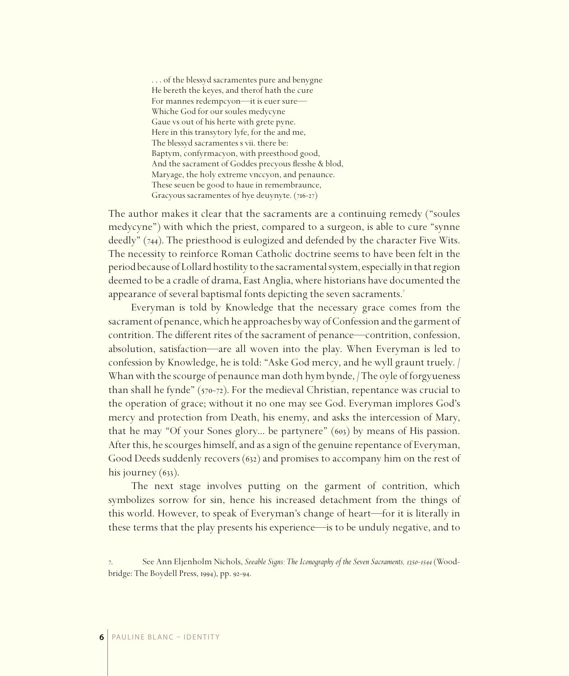. . . of the blessyd sacramentes pure and benygne He bereth the keyes, and therof hath the cure For mannes redempcyon—it is euer sure— Whiche God for our soules medycyne Gaue vs out of his herte with grete pyne. Here in this transytory lyfe, for the and me, The blessyd sacramentes s vii. there be: Baptym, confyrmacyon, with preesthood good, And the sacrament of Goddes precyous flesshe & blod, Maryage, the holy extreme vnccyon, and penaunce. These seuen be good to haue in remembraunce, Gracyous sacramentes of hye deuynyte.  $(716-27)$ 

The author makes it clear that the sacraments are a continuing remedy ("soules medycyne") with which the priest, compared to a surgeon, is able to cure "synne deedly" (744). The priesthood is eulogized and defended by the character Five Wits. The necessity to reinforce Roman Catholic doctrine seems to have been felt in the period because of Lollard hostility to the sacramental system, especially in that region deemed to be a cradle of drama, East Anglia, where historians have documented the appearance of several baptismal fonts depicting the seven sacraments.

Everyman is told by Knowledge that the necessary grace comes from the sacrament of penance, which he approaches by way of Confession and the garment of contrition. The different rites of the sacrament of penance—contrition, confession, absolution, satisfaction—are all woven into the play. When Everyman is led to confession by Knowledge, he is told: "Aske God mercy, and he wyll graunt truely. / Whan with the scourge of penaunce man doth hym bynde, / The oyle of forgyueness than shall he fynde"  $(570-72)$ . For the medieval Christian, repentance was crucial to the operation of grace; without it no one may see God. Everyman implores God's mercy and protection from Death, his enemy, and asks the intercession of Mary, that he may "Of your Sones glory... be partynere"  $(603)$  by means of His passion. After this, he scourges himself, and as a sign of the genuine repentance of Everyman, Good Deeds suddenly recovers (632) and promises to accompany him on the rest of his journey  $(63)$ .

The next stage involves putting on the garment of contrition, which symbolizes sorrow for sin, hence his increased detachment from the things of this world. However, to speak of Everyman's change of heart—for it is literally in these terms that the play presents his experience—is to be unduly negative, and to

<sup>.</sup> See Ann Eljenholm Nichols, *Seeable Signs: The Iconography of the Seven Sacraments, 1350-1544* (Woodbridge: The Boydell Press, 1994), pp. 92-94.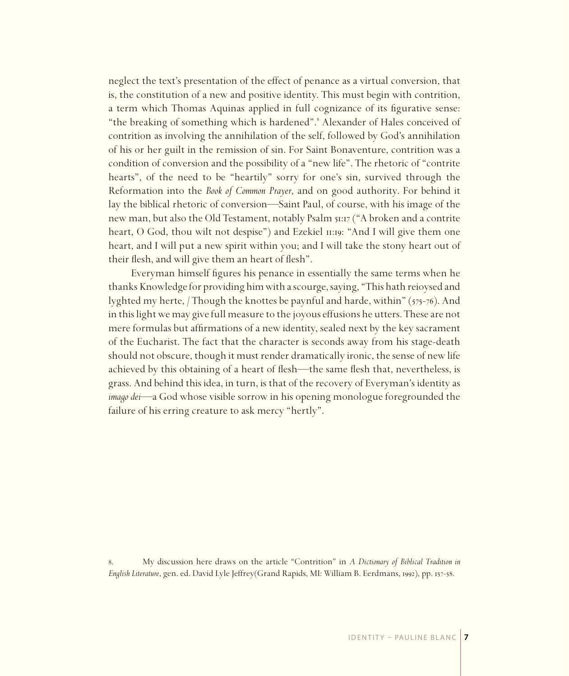neglect the text's presentation of the effect of penance as a virtual conversion, that is, the constitution of a new and positive identity. This must begin with contrition, a term which Thomas Aquinas applied in full cognizance of its figurative sense: "the breaking of something which is hardened". Alexander of Hales conceived of contrition as involving the annihilation of the self, followed by God's annihilation of his or her guilt in the remission of sin. For Saint Bonaventure, contrition was a condition of conversion and the possibility of a "new life". The rhetoric of "contrite hearts", of the need to be "heartily" sorry for one's sin, survived through the Reformation into the *Book of Common Prayer*, and on good authority. For behind it lay the biblical rhetoric of conversion—Saint Paul, of course, with his image of the new man, but also the Old Testament, notably Psalm 51:17 ("A broken and a contrite heart, O God, thou wilt not despise") and Ezekiel  $\pi$ : "And I will give them one heart, and I will put a new spirit within you; and I will take the stony heart out of their flesh, and will give them an heart of flesh".

Everyman himself figures his penance in essentially the same terms when he thanks Knowledge for providing him with a scourge, saying, "This hath reioysed and lyghted my herte, / Though the knottes be paynful and harde, within"  $(575-76)$ . And in this light we may give full measure to the joyous effusions he utters. These are not mere formulas but affirmations of a new identity, sealed next by the key sacrament of the Eucharist. The fact that the character is seconds away from his stage-death should not obscure, though it must render dramatically ironic, the sense of new life achieved by this obtaining of a heart of flesh—the same flesh that, nevertheless, is grass. And behind this idea, in turn, is that of the recovery of Everyman's identity as *imago dei*—a God whose visible sorrow in his opening monologue foregrounded the failure of his erring creature to ask mercy "hertly".

. My discussion here draws on the article "Contrition" in *A Dictionary of Biblical Tradition in*  English Literature, gen. ed. David Lyle Jeffrey(Grand Rapids, MI: William B. Eerdmans, 1992), pp. 157-58.